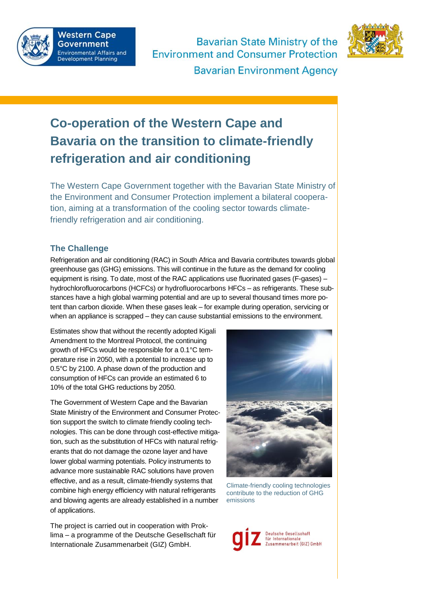

**Bavarian State Ministry of the Environment and Consumer Protection** 



**Bavarian Environment Agency** 

## **Co-operation of the Western Cape and Bavaria on the transition to climate-friendly refrigeration and air conditioning**

The Western Cape Government together with the Bavarian State Ministry of the Environment and Consumer Protection implement a bilateral cooperation, aiming at a transformation of the cooling sector towards climatefriendly refrigeration and air conditioning.

## **The Challenge**

Refrigeration and air conditioning (RAC) in South Africa and Bavaria contributes towards global greenhouse gas (GHG) emissions. This will continue in the future as the demand for cooling equipment is rising. To date, most of the RAC applications use fluorinated gases (F-gases) – hydrochlorofluorocarbons (HCFCs) or hydrofluorocarbons HFCs – as refrigerants. These substances have a high global warming potential and are up to several thousand times more potent than carbon dioxide. When these gases leak – for example during operation, servicing or when an appliance is scrapped – they can cause substantial emissions to the environment.

Estimates show that without the recently adopted Kigali Amendment to the Montreal Protocol, the continuing growth of HFCs would be responsible for a 0.1°C temperature rise in 2050, with a potential to increase up to 0.5°C by 2100. A phase down of the production and consumption of HFCs can provide an estimated 6 to 10% of the total GHG reductions by 2050.

The Government of Western Cape and the Bavarian State Ministry of the Environment and Consumer Protection support the switch to climate friendly cooling technologies. This can be done through cost-effective mitigation, such as the substitution of HFCs with natural refrigerants that do not damage the ozone layer and have lower global warming potentials. Policy instruments to advance more sustainable RAC solutions have proven effective, and as a result, climate-friendly systems that combine high energy efficiency with natural refrigerants and blowing agents are already established in a number of applications.

The project is carried out in cooperation with Proklima – a programme of the Deutsche Gesellschaft für Internationale Zusammenarbeit (GIZ) GmbH.



Climate-friendly cooling technologies contribute to the reduction of GHG emissions

eutsche Gesellschaft für Internationale<br>Zusammenarbeit (GIZ) GmbH